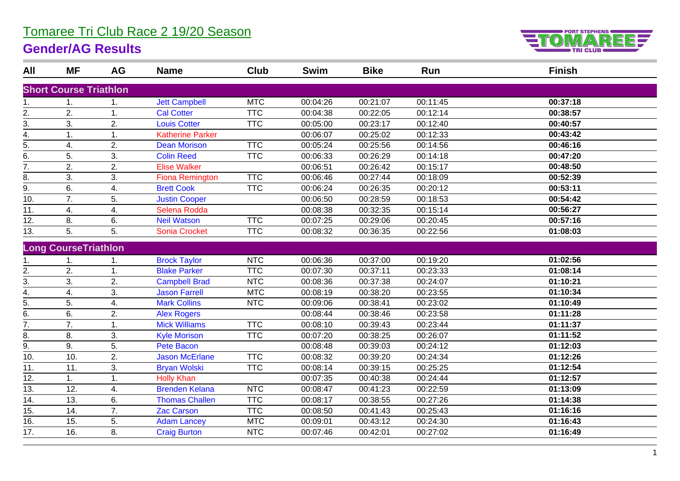## Tomaree Tri Club Race 2 19/20 Season

## **Gender/AG Results**



| All               | <b>MF</b>                     | AG | <b>Name</b>             | Club       | <b>Swim</b> | <b>Bike</b> | Run      | <b>Finish</b> |
|-------------------|-------------------------------|----|-------------------------|------------|-------------|-------------|----------|---------------|
|                   | <b>Short Course Triathlon</b> |    |                         |            |             |             |          |               |
| 1.                | 1.                            | 1. | <b>Jett Campbell</b>    | <b>MTC</b> | 00:04:26    | 00:21:07    | 00:11:45 | 00:37:18      |
| 2.                | 2.                            | 1. | <b>Cal Cotter</b>       | <b>TTC</b> | 00:04:38    | 00:22:05    | 00:12:14 | 00:38:57      |
| $\overline{3}$ .  | 3.                            | 2. | <b>Louis Cotter</b>     | <b>TTC</b> | 00:05:00    | 00:23:17    | 00:12:40 | 00:40:57      |
| $\overline{4}$ .  | 1.                            | 1. | <b>Katherine Parker</b> |            | 00:06:07    | 00:25:02    | 00:12:33 | 00:43:42      |
| $\overline{5}$ .  | 4.                            | 2. | <b>Dean Morison</b>     | <b>TTC</b> | 00:05:24    | 00:25:56    | 00:14:56 | 00:46:16      |
| 6.                | 5.                            | 3. | <b>Colin Reed</b>       | <b>TTC</b> | 00:06:33    | 00:26:29    | 00:14:18 | 00:47:20      |
| 7.                | 2.                            | 2. | <b>Elise Walker</b>     |            | 00:06:51    | 00:26:42    | 00:15:17 | 00:48:50      |
| 8.                | 3.                            | 3. | <b>Fiona Remington</b>  | <b>TTC</b> | 00:06:46    | 00:27:44    | 00:18:09 | 00:52:39      |
| $\overline{9}$ .  | 6.                            | 4. | <b>Brett Cook</b>       | <b>TTC</b> | 00:06:24    | 00:26:35    | 00:20:12 | 00:53:11      |
| 10.               | 7.                            | 5. | <b>Justin Cooper</b>    |            | 00:06:50    | 00:28:59    | 00:18:53 | 00:54:42      |
| $\overline{11}$ . | 4.                            | 4. | Selena Rodda            |            | 00:08:38    | 00:32:35    | 00:15:14 | 00:56:27      |
| 12.               | 8.                            | 6. | <b>Neil Watson</b>      | <b>TTC</b> | 00:07:25    | 00:29:06    | 00:20:45 | 00:57:16      |
| 13.               | 5.                            | 5. | <b>Sonia Crocket</b>    | <b>TTC</b> | 00:08:32    | 00:36:35    | 00:22:56 | 01:08:03      |
|                   | <b>Long CourseTriathlon</b>   |    |                         |            |             |             |          |               |
| 1.                | 1.                            | 1. | <b>Brock Taylor</b>     | <b>NTC</b> | 00:06:36    | 00:37:00    | 00:19:20 | 01:02:56      |
| 2.                | 2.                            | 1. | <b>Blake Parker</b>     | <b>TTC</b> | 00:07:30    | 00:37:11    | 00:23:33 | 01:08:14      |
| 3.                | 3.                            | 2. | <b>Campbell Brad</b>    | <b>NTC</b> | 00:08:36    | 00:37:38    | 00:24:07 | 01:10:21      |
| 4.                | 4.                            | 3. | <b>Jason Farrell</b>    | <b>MTC</b> | 00:08:19    | 00:38:20    | 00:23:55 | 01:10:34      |
| 5.                | 5.                            | 4. | <b>Mark Collins</b>     | <b>NTC</b> | 00:09:06    | 00:38:41    | 00:23:02 | 01:10:49      |
| $\overline{6}$ .  | 6.                            | 2. | <b>Alex Rogers</b>      |            | 00:08:44    | 00:38:46    | 00:23:58 | 01:11:28      |
| $\overline{7}$ .  | 7.                            | 1. | <b>Mick Williams</b>    | <b>TTC</b> | 00:08:10    | 00:39:43    | 00:23:44 | 01:11:37      |
| 8.                | 8.                            | 3. | <b>Kyle Morison</b>     | <b>TTC</b> | 00:07:20    | 00:38:25    | 00:26:07 | 01:11:52      |
| 9.                | 9.                            | 5. | <b>Pete Bacon</b>       |            | 00:08:48    | 00:39:03    | 00:24:12 | 01:12:03      |
| 10.               | 10.                           | 2. | Jason McErlane          | <b>TTC</b> | 00:08:32    | 00:39:20    | 00:24:34 | 01:12:26      |
| 11.               | 11.                           | 3. | <b>Bryan Wolski</b>     | <b>TTC</b> | 00:08:14    | 00:39:15    | 00:25:25 | 01:12:54      |
| 12.               | 1.                            | 1. | <b>Holly Khan</b>       |            | 00:07:35    | 00:40:38    | 00:24:44 | 01:12:57      |
| 13.               | 12.                           | 4. | <b>Brenden Kelana</b>   | <b>NTC</b> | 00:08:47    | 00:41:23    | 00:22:59 | 01:13:09      |
| 14.               | 13.                           | 6. | <b>Thomas Challen</b>   | <b>TTC</b> | 00:08:17    | 00:38:55    | 00:27:26 | 01:14:38      |
| 15.               | 14.                           | 7. | <b>Zac Carson</b>       | <b>TTC</b> | 00:08:50    | 00:41:43    | 00:25:43 | 01:16:16      |
| 16.               | 15.                           | 5. | <b>Adam Lancey</b>      | <b>MTC</b> | 00:09:01    | 00:43:12    | 00:24:30 | 01:16:43      |
| $\overline{17}$ . | 16.                           | 8. | <b>Craig Burton</b>     | <b>NTC</b> | 00:07:46    | 00:42:01    | 00:27:02 | 01:16:49      |